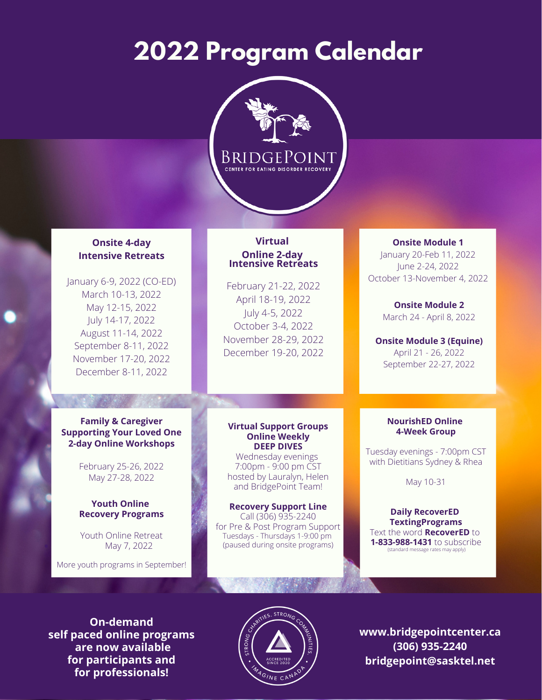# **2022 Program Calendar**



## **Onsite 4-day Intensive Retreats**

January 6-9, 2022 (CO-ED) March 10-13, 2022 May 12-15, 2022 July 14-17, 2022 August 11-14, 2022 September 8-11, 2022 November 17-20, 2022 December 8-11, 2022

## **Family & Caregiver Supporting Your Loved One 2-day Online Workshops**

February 25-26, 2022 May 27-28, 2022

### **Youth Online Recovery Programs**

May 7, 2022 Youth Online Retreat

More youth programs in September!

## **Virtual Online 2-day Intensive Retreats**

February 21-22, 2022 April 18-19, 2022 July 4-5, 2022 October 3-4, 2022 November 28-29, 2022 December 19-20, 2022

#### **Virtual Support Groups Online Weekly DEEP DIVES**

Wednesday evenings 7:00pm - 9:00 pm CST hosted by Lauralyn, Helen and BridgePoint Team!

**Recovery Support Line** Call (306) 935-2240 for Pre & Post Program Support Tuesdays - Thursdays 1-9:00 pm (paused during onsite programs)

## **Onsite Module 1**

January 20-Feb 11, 2022 June 2-24, 2022 October 13-November 4, 2022

> **Onsite Module 2** March 24 - April 8, 2022

**Onsite Module 3 (Equine)** April 21 - 26, 2022 September 22-27, 2022

### **NourishED Online 4-Week Group**

Tuesday evenings - 7:00pm CST with Dietitians Sydney & Rhea

May 10-31

#### **Daily RecoverED TextingPrograms** Text the word **RecoverED** to **1-833-988-1431** to subscribe (standard message rates may apply)

**On-demand self paced online programs are now available for participants and for professionals!**



**www.bridgepointcenter.ca (306) 935-2240 bridgepoint@sasktel.net**